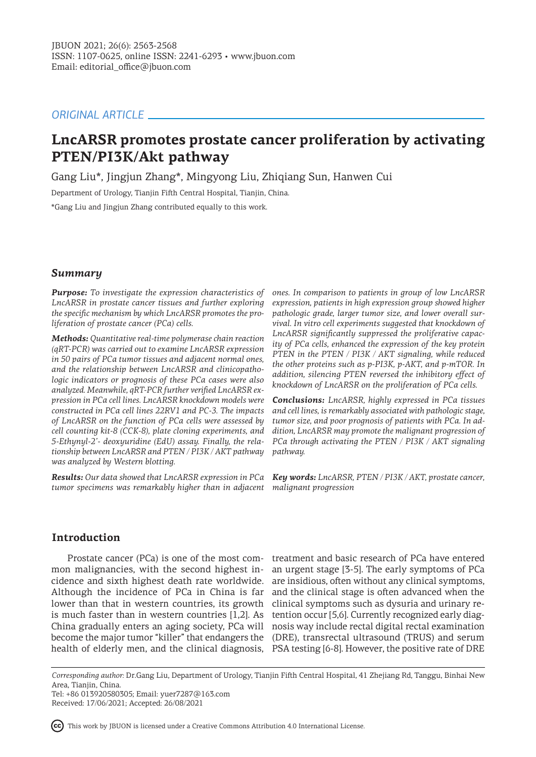# *ORIGINAL ARTICLE*

# **LncARSR promotes prostate cancer proliferation by activating PTEN/PI3K/Akt pathway**

Gang Liu\*, Jingjun Zhang\*, Mingyong Liu, Zhiqiang Sun, Hanwen Cui

Department of Urology, Tianjin Fifth Central Hospital, Tianjin, China.

\*Gang Liu and Jingjun Zhang contributed equally to this work.

# *Summary*

*Purpose: To investigate the expression characteristics of LncARSR in prostate cancer tissues and further exploring the specific mechanism by which LncARSR promotes the proliferation of prostate cancer (PCa) cells.*

*Methods: Quantitative real-time polymerase chain reaction (qRT-PCR) was carried out to examine LncARSR expression in 50 pairs of PCa tumor tissues and adjacent normal ones, and the relationship between LncARSR and clinicopathologic indicators or prognosis of these PCa cases were also analyzed. Meanwhile, qRT-PCR further verified LncARSR expression in PCa cell lines. LncARSR knockdown models were constructed in PCa cell lines 22RV1 and PC-3. The impacts of LncARSR on the function of PCa cells were assessed by cell counting kit-8 (CCK-8), plate cloning experiments, and 5-Ethynyl-2'- deoxyuridine (EdU) assay. Finally, the relationship between LncARSR and PTEN / PI3K / AKT pathway was analyzed by Western blotting.* 

*Results: Our data showed that LncARSR expression in PCa tumor specimens was remarkably higher than in adjacent malignant progression*

*ones. In comparison to patients in group of low LncARSR expression, patients in high expression group showed higher pathologic grade, larger tumor size, and lower overall survival. In vitro cell experiments suggested that knockdown of LncARSR significantly suppressed the proliferative capacity of PCa cells, enhanced the expression of the key protein PTEN in the PTEN / PI3K / AKT signaling, while reduced the other proteins such as p-PI3K, p-AKT, and p-mTOR. In addition, silencing PTEN reversed the inhibitory effect of knockdown of LncARSR on the proliferation of PCa cells.*

*Conclusions: LncARSR, highly expressed in PCa tissues and cell lines, is remarkably associated with pathologic stage, tumor size, and poor prognosis of patients with PCa. In addition, LncARSR may promote the malignant progression of PCa through activating the PTEN / PI3K / AKT signaling pathway.*

*Key words: LncARSR, PTEN / PI3K / AKT, prostate cancer,* 

# **Introduction**

Prostate cancer (PCa) is one of the most common malignancies, with the second highest incidence and sixth highest death rate worldwide. Although the incidence of PCa in China is far lower than that in western countries, its growth is much faster than in western countries [1,2]. As China gradually enters an aging society, PCa will become the major tumor "killer" that endangers the health of elderly men, and the clinical diagnosis, PSA testing [6-8]. However, the positive rate of DRE

treatment and basic research of PCa have entered an urgent stage [3-5]. The early symptoms of PCa are insidious, often without any clinical symptoms, and the clinical stage is often advanced when the clinical symptoms such as dysuria and urinary retention occur [5,6]. Currently recognized early diagnosis way include rectal digital rectal examination (DRE), transrectal ultrasound (TRUS) and serum

Tel: +86 013920580305; Email: yuer7287@163.com Received: 17/06/2021; Accepted: 26/08/2021



*Corresponding author:* Dr.Gang Liu, Department of Urology, Tianjin Fifth Central Hospital, 41 Zhejiang Rd, Tanggu, Binhai New Area, Tianjin, China.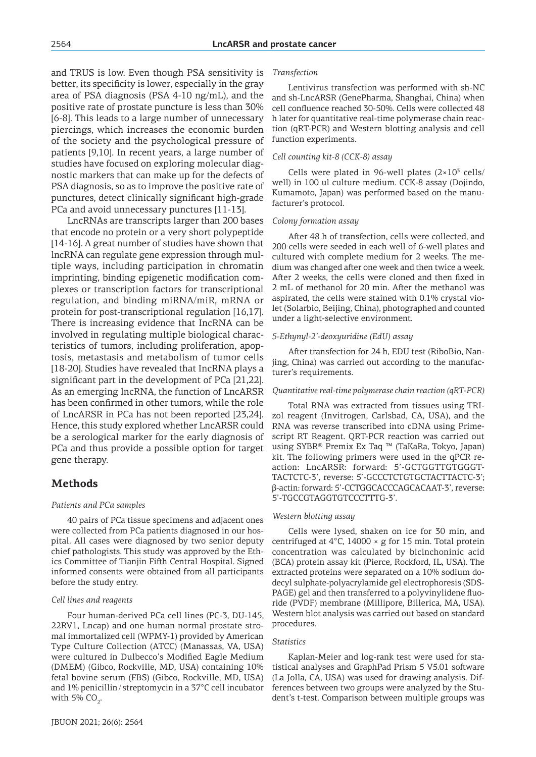and TRUS is low. Even though PSA sensitivity is better, its specificity is lower, especially in the gray area of PSA diagnosis (PSA 4-10 ng/mL), and the positive rate of prostate puncture is less than 30% [6-8]. This leads to a large number of unnecessary piercings, which increases the economic burden of the society and the psychological pressure of patients [9,10]. In recent years, a large number of studies have focused on exploring molecular diagnostic markers that can make up for the defects of PSA diagnosis, so as to improve the positive rate of punctures, detect clinically significant high-grade PCa and avoid unnecessary punctures [11-13].

LncRNAs are transcripts larger than 200 bases that encode no protein or a very short polypeptide [14-16]. A great number of studies have shown that lncRNA can regulate gene expression through multiple ways, including participation in chromatin imprinting, binding epigenetic modification complexes or transcription factors for transcriptional regulation, and binding miRNA/miR, mRNA or protein for post-transcriptional regulation [16,17]. There is increasing evidence that IncRNA can be involved in regulating multiple biological characteristics of tumors, including proliferation, apoptosis, metastasis and metabolism of tumor cells [18-20]. Studies have revealed that IncRNA plays a significant part in the development of PCa [21,22]. As an emerging lncRNA, the function of LncARSR has been confirmed in other tumors, while the role of LncARSR in PCa has not been reported [23,24]. Hence, this study explored whether LncARSR could be a serological marker for the early diagnosis of PCa and thus provide a possible option for target gene therapy.

# **Methods**

#### *Patients and PCa samples*

40 pairs of PCa tissue specimens and adjacent ones were collected from PCa patients diagnosed in our hospital. All cases were diagnosed by two senior deputy chief pathologists. This study was approved by the Ethics Committee of Tianjin Fifth Central Hospital. Signed informed consents were obtained from all participants before the study entry.

#### *Cell lines and reagents*

Four human-derived PCa cell lines (PC-3, DU-145, 22RV1, Lncap) and one human normal prostate stromal immortalized cell (WPMY-1) provided by American Type Culture Collection (ATCC) (Manassas, VA, USA) were cultured in Dulbecco's Modified Eagle Medium (DMEM) (Gibco, Rockville, MD, USA) containing 10% fetal bovine serum (FBS) (Gibco, Rockville, MD, USA) and 1% penicillin/ streptomycin in a 37°C cell incubator with 5%  $CO_2$ .

#### *Transfection*

Lentivirus transfection was performed with sh-NC and sh-LncARSR (GenePharma, Shanghai, China) when cell confluence reached 30-50%. Cells were collected 48 h later for quantitative real-time polymerase chain reaction (qRT-PCR) and Western blotting analysis and cell function experiments.

#### *Cell counting kit-8 (CCK-8) assay*

Cells were plated in 96-well plates  $(2\times10^{3} \text{ cells})$ well) in 100 ul culture medium. CCK-8 assay (Dojindo, Kumamoto, Japan) was performed based on the manufacturer's protocol.

#### *Colony formation assay*

After 48 h of transfection, cells were collected, and 200 cells were seeded in each well of 6-well plates and cultured with complete medium for 2 weeks. The medium was changed after one week and then twice a week. After 2 weeks, the cells were cloned and then fixed in 2 mL of methanol for 20 min. After the methanol was aspirated, the cells were stained with 0.1% crystal violet (Solarbio, Beijing, China), photographed and counted under a light-selective environment.

#### *5-Ethynyl-2'-deoxyuridine (EdU) assay*

After transfection for 24 h, EDU test (RiboBio, Nanjing, China) was carried out according to the manufacturer's requirements.

#### *Quantitative real-time polymerase chain reaction (qRT-PCR)*

Total RNA was extracted from tissues using TRIzol reagent (Invitrogen, Carlsbad, CA, USA), and the RNA was reverse transcribed into cDNA using Primescript RT Reagent. QRT-PCR reaction was carried out using SYBR® Premix Ex Taq ™ (TaKaRa, Tokyo, Japan) kit. The following primers were used in the qPCR reaction: LncARSR: forward: 5'-GCTGGTTGTGGGT-TACTCTC-3', reverse: 5'-GCCCTCTGTGCTACTTACTC-3'; β-actin: forward: 5'-CCTGGCACCCAGCACAAT-3', reverse: 5'-TGCCGTAGGTGTCCCTTTG-3'.

#### *Western blotting assay*

Cells were lysed, shaken on ice for 30 min, and centrifuged at  $4^{\circ}$ C, 14000  $\times$  g for 15 min. Total protein concentration was calculated by bicinchoninic acid (BCA) protein assay kit (Pierce, Rockford, IL, USA). The extracted proteins were separated on a 10% sodium dodecyl sulphate-polyacrylamide gel electrophoresis (SDS-PAGE) gel and then transferred to a polyvinylidene fluoride (PVDF) membrane (Millipore, Billerica, MA, USA). Western blot analysis was carried out based on standard procedures.

#### *Statistics*

Kaplan-Meier and log-rank test were used for statistical analyses and GraphPad Prism 5 V5.01 software (La Jolla, CA, USA) was used for drawing analysis. Differences between two groups were analyzed by the Student's t-test. Comparison between multiple groups was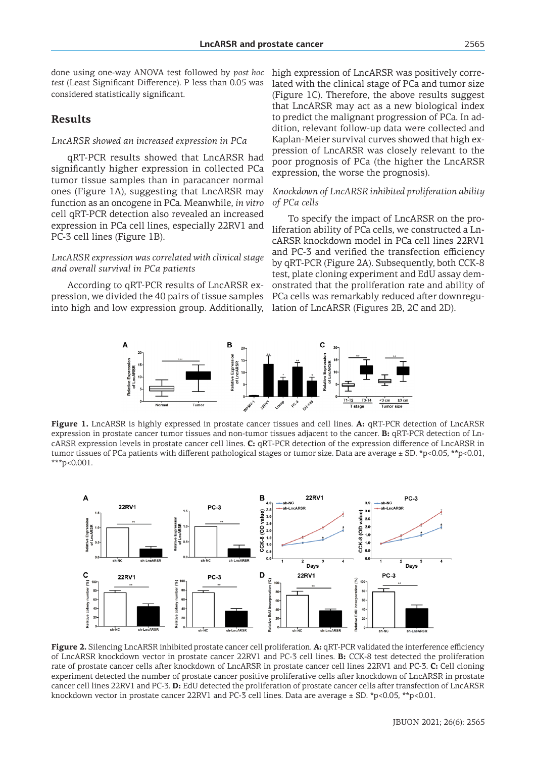done using one-way ANOVA test followed by *post hoc test* (Least Significant Difference). P less than 0.05 was considered statistically significant.

# **Results**

### *LncARSR showed an increased expression in PCa*

qRT-PCR results showed that LncARSR had significantly higher expression in collected PCa tumor tissue samples than in paracancer normal ones (Figure 1A), suggesting that LncARSR may function as an oncogene in PCa. Meanwhile, *in vitro* cell qRT-PCR detection also revealed an increased expression in PCa cell lines, especially 22RV1 and PC-3 cell lines (Figure 1B).

# *LncARSR expression was correlated with clinical stage and overall survival in PCa patients*

According to qRT-PCR results of LncARSR expression, we divided the 40 pairs of tissue samples into high and low expression group. Additionally,

high expression of LncARSR was positively correlated with the clinical stage of PCa and tumor size (Figure 1C). Therefore, the above results suggest that LncARSR may act as a new biological index to predict the malignant progression of PCa. In addition, relevant follow-up data were collected and Kaplan-Meier survival curves showed that high expression of LncARSR was closely relevant to the poor prognosis of PCa (the higher the LncARSR expression, the worse the prognosis).

# *Knockdown of LncARSR inhibited proliferation ability of PCa cells*

To specify the impact of LncARSR on the proliferation ability of PCa cells, we constructed a LncARSR knockdown model in PCa cell lines 22RV1 and PC-3 and verified the transfection efficiency by qRT-PCR (Figure 2A). Subsequently, both CCK-8 test, plate cloning experiment and EdU assay demonstrated that the proliferation rate and ability of PCa cells was remarkably reduced after downregulation of LncARSR (Figures 2B, 2C and 2D).



**Figure 1.** LncARSR is highly expressed in prostate cancer tissues and cell lines. **A:** qRT-PCR detection of LncARSR expression in prostate cancer tumor tissues and non-tumor tissues adjacent to the cancer. **B:** qRT-PCR detection of LncARSR expression levels in prostate cancer cell lines. **C:** qRT-PCR detection of the expression difference of LncARSR in tumor tissues of PCa patients with different pathological stages or tumor size. Data are average ± SD. \*p<0.05, \*\*p<0.01, \*\*\*p<0.001.



**Figure 2.** Silencing LncARSR inhibited prostate cancer cell proliferation. **A:** qRT-PCR validated the interference efficiency of LncARSR knockdown vector in prostate cancer 22RV1 and PC-3 cell lines. **B:** CCK-8 test detected the proliferation rate of prostate cancer cells after knockdown of LncARSR in prostate cancer cell lines 22RV1 and PC-3. **C:** Cell cloning experiment detected the number of prostate cancer positive proliferative cells after knockdown of LncARSR in prostate cancer cell lines 22RV1 and PC-3. **D:** EdU detected the proliferation of prostate cancer cells after transfection of LncARSR knockdown vector in prostate cancer 22RV1 and PC-3 cell lines. Data are average  $\pm$  SD. \*p<0.05, \*\*p<0.01.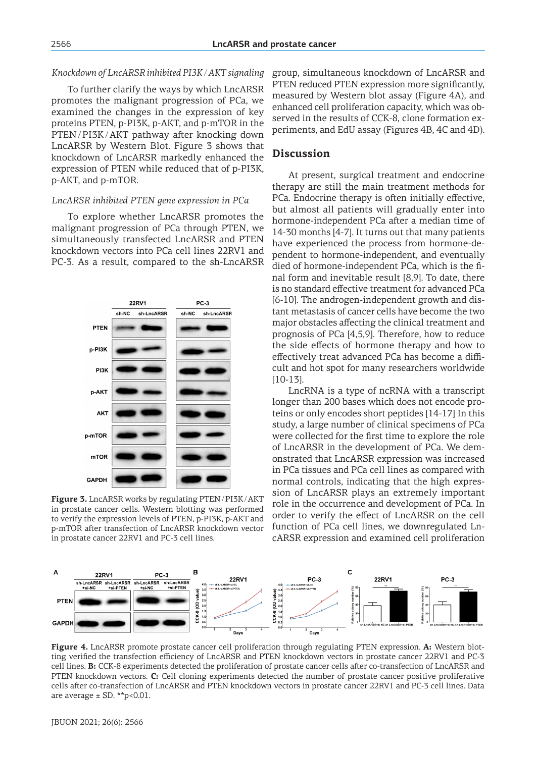### *Knockdown of LncARSR inhibited PI3K / AKT signaling*

To further clarify the ways by which LncARSR promotes the malignant progression of PCa, we examined the changes in the expression of key proteins PTEN, p-PI3K, p-AKT, and p-mTOR in the PTEN /PI3K/AKT pathway after knocking down LncARSR by Western Blot. Figure 3 shows that knockdown of LncARSR markedly enhanced the expression of PTEN while reduced that of p-PI3K, p-AKT, and p-mTOR.

### *LncARSR inhibited PTEN gene expression in PCa*

To explore whether LncARSR promotes the malignant progression of PCa through PTEN, we simultaneously transfected LncARSR and PTEN knockdown vectors into PCa cell lines 22RV1 and PC-3. As a result, compared to the sh-LncARSR



**Figure 3.** LncARSR works by regulating PTEN/PI3K/AKT in prostate cancer cells. Western blotting was performed to verify the expression levels of PTEN, p-PI3K, p-AKT and p-mTOR after transfection of LncARSR knockdown vector in prostate cancer 22RV1 and PC-3 cell lines.

group, simultaneous knockdown of LncARSR and PTEN reduced PTEN expression more significantly, measured by Western blot assay (Figure 4A), and enhanced cell proliferation capacity, which was observed in the results of CCK-8, clone formation experiments, and EdU assay (Figures 4B, 4C and 4D).

# **Discussion**

At present, surgical treatment and endocrine therapy are still the main treatment methods for PCa. Endocrine therapy is often initially effective, but almost all patients will gradually enter into hormone-independent PCa after a median time of 14-30 months [4-7]. It turns out that many patients have experienced the process from hormone-dependent to hormone-independent, and eventually died of hormone-independent PCa, which is the final form and inevitable result [8,9]. To date, there is no standard effective treatment for advanced PCa [6-10]. The androgen-independent growth and distant metastasis of cancer cells have become the two major obstacles affecting the clinical treatment and prognosis of PCa [4,5,9]. Therefore, how to reduce the side effects of hormone therapy and how to effectively treat advanced PCa has become a difficult and hot spot for many researchers worldwide [10-13].

LncRNA is a type of ncRNA with a transcript longer than 200 bases which does not encode proteins or only encodes short peptides [14-17] In this study, a large number of clinical specimens of PCa were collected for the first time to explore the role of LncARSR in the development of PCa. We demonstrated that LncARSR expression was increased in PCa tissues and PCa cell lines as compared with normal controls, indicating that the high expression of LncARSR plays an extremely important role in the occurrence and development of PCa. In order to verify the effect of LncARSR on the cell function of PCa cell lines, we downregulated LncARSR expression and examined cell proliferation



**Figure 4.** LncARSR promote prostate cancer cell proliferation through regulating PTEN expression. **A:** Western blotting verified the transfection efficiency of LncARSR and PTEN knockdown vectors in prostate cancer 22RV1 and PC-3 cell lines. **B:** CCK-8 experiments detected the proliferation of prostate cancer cells after co-transfection of LncARSR and PTEN knockdown vectors. **C:** Cell cloning experiments detected the number of prostate cancer positive proliferative cells after co-transfection of LncARSR and PTEN knockdown vectors in prostate cancer 22RV1 and PC-3 cell lines. Data are average  $\pm$  SD. \*\*p<0.01.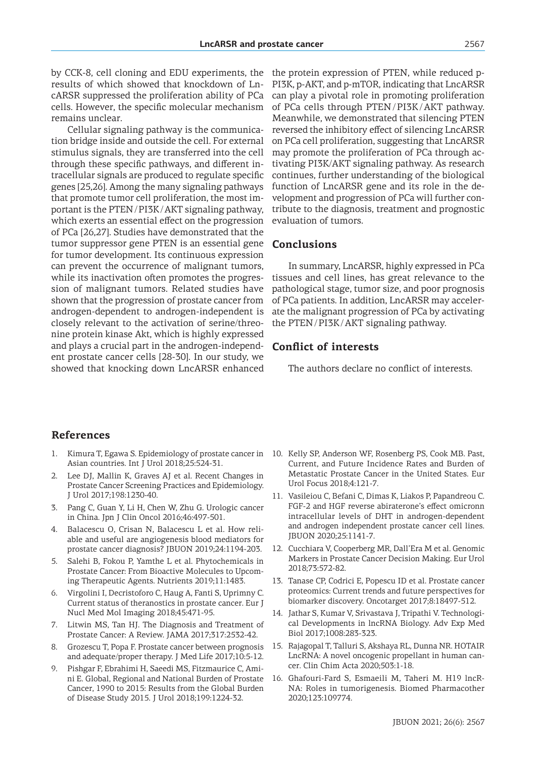by CCK-8, cell cloning and EDU experiments, the results of which showed that knockdown of LncARSR suppressed the proliferation ability of PCa cells. However, the specific molecular mechanism remains unclear.

Cellular signaling pathway is the communication bridge inside and outside the cell. For external stimulus signals, they are transferred into the cell through these specific pathways, and different intracellular signals are produced to regulate specific genes [25,26]. Among the many signaling pathways that promote tumor cell proliferation, the most important is the PTEN/PI3K/AKT signaling pathway, which exerts an essential effect on the progression of PCa [26,27]. Studies have demonstrated that the tumor suppressor gene PTEN is an essential gene for tumor development. Its continuous expression can prevent the occurrence of malignant tumors, while its inactivation often promotes the progression of malignant tumors. Related studies have shown that the progression of prostate cancer from androgen-dependent to androgen-independent is closely relevant to the activation of serine/threonine protein kinase Akt, which is highly expressed and plays a crucial part in the androgen-independent prostate cancer cells [28-30]. In our study, we showed that knocking down LncARSR enhanced the protein expression of PTEN, while reduced p-PI3K, p-AKT, and p-mTOR, indicating that LncARSR can play a pivotal role in promoting proliferation of PCa cells through PTEN /PI3K/AKT pathway. Meanwhile, we demonstrated that silencing PTEN reversed the inhibitory effect of silencing LncARSR on PCa cell proliferation, suggesting that LncARSR may promote the proliferation of PCa through activating PI3K/AKT signaling pathway. As research continues, further understanding of the biological function of LncARSR gene and its role in the development and progression of PCa will further contribute to the diagnosis, treatment and prognostic evaluation of tumors.

# **Conclusions**

In summary, LncARSR, highly expressed in PCa tissues and cell lines, has great relevance to the pathological stage, tumor size, and poor prognosis of PCa patients. In addition, LncARSR may accelerate the malignant progression of PCa by activating the PTEN/PI3K/AKT signaling pathway.

# **Conflict of interests**

The authors declare no conflict of interests.

# **References**

- 1. Kimura T, Egawa S. Epidemiology of prostate cancer in Asian countries. Int J Urol 2018;25:524-31.
- 2. Lee DJ, Mallin K, Graves AJ et al. Recent Changes in Prostate Cancer Screening Practices and Epidemiology. J Urol 2017;198:1230-40.
- 3. Pang C, Guan Y, Li H, Chen W, Zhu G. Urologic cancer in China. Jpn J Clin Oncol 2016;46:497-501.
- 4. Balacescu O, Crisan N, Balacescu L et al. How reliable and useful are angiogenesis blood mediators for prostate cancer diagnosis? JBUON 2019;24:1194-203.
- 5. Salehi B, Fokou P, Yamthe L et al. Phytochemicals in Prostate Cancer: From Bioactive Molecules to Upcoming Therapeutic Agents. Nutrients 2019;11:1483.
- 6. Virgolini I, Decristoforo C, Haug A, Fanti S, Uprimny C. Current status of theranostics in prostate cancer. Eur J Nucl Med Mol Imaging 2018;45:471-95.
- 7. Litwin MS, Tan HJ. The Diagnosis and Treatment of Prostate Cancer: A Review. JAMA 2017;317:2532-42.
- 8. Grozescu T, Popa F. Prostate cancer between prognosis and adequate/proper therapy. J Med Life 2017;10:5-12.
- 9. Pishgar F, Ebrahimi H, Saeedi MS, Fitzmaurice C, Amini E. Global, Regional and National Burden of Prostate Cancer, 1990 to 2015: Results from the Global Burden of Disease Study 2015. J Urol 2018;199:1224-32.
- 10. Kelly SP, Anderson WF, Rosenberg PS, Cook MB. Past, Current, and Future Incidence Rates and Burden of Metastatic Prostate Cancer in the United States. Eur Urol Focus 2018;4:121-7.
- 11. Vasileiou C, Befani C, Dimas K, Liakos P, Papandreou C. FGF-2 and HGF reverse abiraterone's effect omicronn intracellular levels of DHT in androgen-dependent and androgen independent prostate cancer cell lines. JBUON 2020;25:1141-7.
- 12. Cucchiara V, Cooperberg MR, Dall'Era M et al. Genomic Markers in Prostate Cancer Decision Making. Eur Urol 2018;73:572-82.
- 13. Tanase CP, Codrici E, Popescu ID et al. Prostate cancer proteomics: Current trends and future perspectives for biomarker discovery. Oncotarget 2017;8:18497-512.
- 14. Jathar S, Kumar V, Srivastava J, Tripathi V. Technological Developments in lncRNA Biology. Adv Exp Med Biol 2017;1008:283-323.
- 15. Rajagopal T, Talluri S, Akshaya RL, Dunna NR. HOTAIR LncRNA: A novel oncogenic propellant in human cancer. Clin Chim Acta 2020;503:1-18.
- 16. Ghafouri-Fard S, Esmaeili M, Taheri M. H19 lncR-NA: Roles in tumorigenesis. Biomed Pharmacother 2020;123:109774.